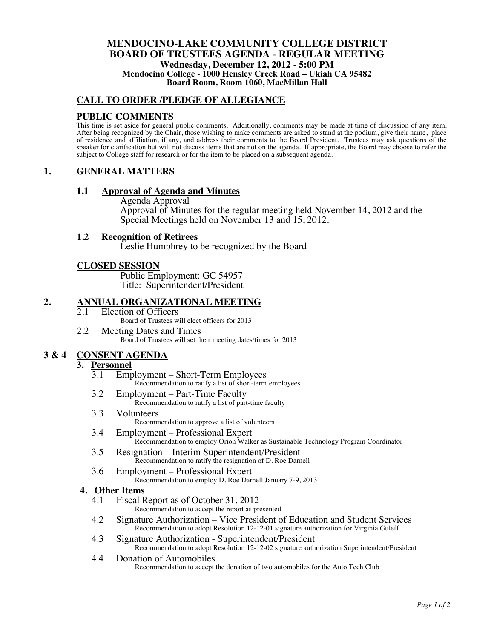### **MENDOCINO-LAKE COMMUNITY COLLEGE DISTRICT BOARD OF TRUSTEES AGENDA** - **REGULAR MEETING Wednesday, December 12, 2012 - 5:00 PM Mendocino College - 1000 Hensley Creek Road – Ukiah CA 95482 Board Room, Room 1060, MacMillan Hall**

### **CALL TO ORDER /PLEDGE OF ALLEGIANCE**

### **PUBLIC COMMENTS**

This time is set aside for general public comments. Additionally, comments may be made at time of discussion of any item. After being recognized by the Chair, those wishing to make comments are asked to stand at the podium, give their name, place of residence and affiliation, if any, and address their comments to the Board President. Trustees may ask questions of the speaker for clarification but will not discuss items that are not on the agenda. If appropriate, the Board may choose to refer the subject to College staff for research or for the item to be placed on a subsequent agenda.

### **1. GENERAL MATTERS**

### **1.1 Approval of Agenda and Minutes**

Agenda Approval Approval of Minutes for the regular meeting held November 14, 2012 and the Special Meetings held on November 13 and 15, 2012.

### **1.2 Recognition of Retirees**

Leslie Humphrey to be recognized by the Board

### **CLOSED SESSION**

Public Employment: GC 54957 Title: Superintendent/President

# 2. **ANNUAL ORGANIZATIONAL MEETING**<br>2.1 Election of Officers

- Election of Officers Board of Trustees will elect officers for 2013
- 2.2 Meeting Dates and Times Board of Trustees will set their meeting dates/times for 2013

### **3 & 4 CONSENT AGENDA**

## 3. **Personnel**<br> $\frac{3.1}{3.1}$  Emr

- 3.1 Employment Short-Term Employees Recommendation to ratify a list of short-term employees
- 3.2 Employment Part-Time Faculty Recommendation to ratify a list of part-time faculty
- 3.3 Volunteers Recommendation to approve a list of volunteers
- 3.4 Employment Professional Expert Recommendation to employ Orion Walker as Sustainable Technology Program Coordinator
- 3.5 Resignation Interim Superintendent/President Recommendation to ratify the resignation of D. Roe Darnell
- 3.6 Employment Professional Expert
	- Recommendation to employ D. Roe Darnell January 7-9, 2013

## **4. Other Items**

- Fiscal Report as of October 31, 2012 Recommendation to accept the report as presented
- 4.2 Signature Authorization Vice President of Education and Student Services Recommendation to adopt Resolution 12-12-01 signature authorization for Virginia Guleff
- 4.3 Signature Authorization Superintendent/President Recommendation to adopt Resolution 12-12-02 signature authorization Superintendent/President
- 4.4 Donation of Automobiles Recommendation to accept the donation of two automobiles for the Auto Tech Club